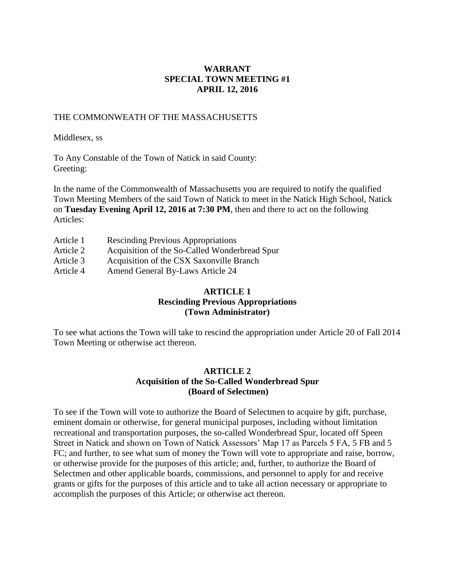## **WARRANT SPECIAL TOWN MEETING #1 APRIL 12, 2016**

#### THE COMMONWEATH OF THE MASSACHUSETTS

#### Middlesex, ss

To Any Constable of the Town of Natick in said County: Greeting:

In the name of the Commonwealth of Massachusetts you are required to notify the qualified Town Meeting Members of the said Town of Natick to meet in the Natick High School, Natick on **Tuesday Evening April 12, 2016 at 7:30 PM**, then and there to act on the following Articles:

Article 1 Rescinding Previous Appropriations Article 2 Acquisition of the So-Called Wonderbread Spur Article 3 Acquisition of the CSX Saxonville Branch Article 4 Amend General By-Laws Article 24

# **ARTICLE 1 Rescinding Previous Appropriations (Town Administrator)**

To see what actions the Town will take to rescind the appropriation under Article 20 of Fall 2014 Town Meeting or otherwise act thereon.

# **ARTICLE 2 Acquisition of the So-Called Wonderbread Spur (Board of Selectmen)**

To see if the Town will vote to authorize the Board of Selectmen to acquire by gift, purchase, eminent domain or otherwise, for general municipal purposes, including without limitation recreational and transportation purposes, the so-called Wonderbread Spur, located off Speen Street in Natick and shown on Town of Natick Assessors' Map 17 as Parcels 5 FA, 5 FB and 5 FC; and further, to see what sum of money the Town will vote to appropriate and raise, borrow, or otherwise provide for the purposes of this article; and, further, to authorize the Board of Selectmen and other applicable boards, commissions, and personnel to apply for and receive grants or gifts for the purposes of this article and to take all action necessary or appropriate to accomplish the purposes of this Article; or otherwise act thereon.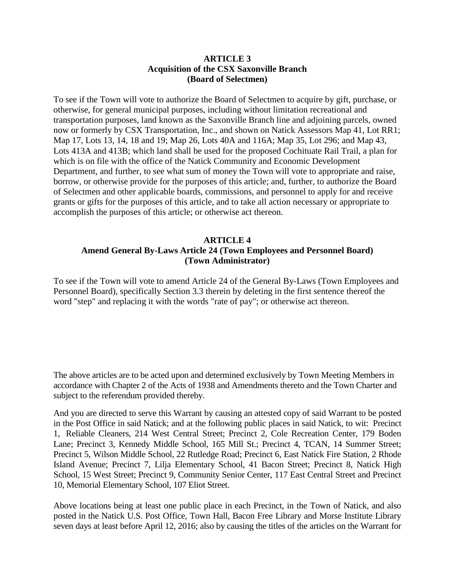#### **ARTICLE 3 Acquisition of the CSX Saxonville Branch (Board of Selectmen)**

To see if the Town will vote to authorize the Board of Selectmen to acquire by gift, purchase, or otherwise, for general municipal purposes, including without limitation recreational and transportation purposes, land known as the Saxonville Branch line and adjoining parcels, owned now or formerly by CSX Transportation, Inc., and shown on Natick Assessors Map 41, Lot RR1; Map 17, Lots 13, 14, 18 and 19; Map 26, Lots 40A and 116A; Map 35, Lot 296; and Map 43, Lots 413A and 413B; which land shall be used for the proposed Cochituate Rail Trail, a plan for which is on file with the office of the Natick Community and Economic Development Department, and further, to see what sum of money the Town will vote to appropriate and raise, borrow, or otherwise provide for the purposes of this article; and, further, to authorize the Board of Selectmen and other applicable boards, commissions, and personnel to apply for and receive grants or gifts for the purposes of this article, and to take all action necessary or appropriate to accomplish the purposes of this article; or otherwise act thereon.

# **ARTICLE 4 Amend General By-Laws Article 24 (Town Employees and Personnel Board) (Town Administrator)**

To see if the Town will vote to amend Article 24 of the General By-Laws (Town Employees and Personnel Board), specifically Section 3.3 therein by deleting in the first sentence thereof the word "step" and replacing it with the words "rate of pay"; or otherwise act thereon.

The above articles are to be acted upon and determined exclusively by Town Meeting Members in accordance with Chapter 2 of the Acts of 1938 and Amendments thereto and the Town Charter and subject to the referendum provided thereby.

And you are directed to serve this Warrant by causing an attested copy of said Warrant to be posted in the Post Office in said Natick; and at the following public places in said Natick, to wit: Precinct 1, Reliable Cleaners, 214 West Central Street; Precinct 2, Cole Recreation Center, 179 Boden Lane; Precinct 3, Kennedy Middle School, 165 Mill St.; Precinct 4, TCAN, 14 Summer Street; Precinct 5, Wilson Middle School, 22 Rutledge Road; Precinct 6, East Natick Fire Station, 2 Rhode Island Avenue; Precinct 7, Lilja Elementary School, 41 Bacon Street; Precinct 8, Natick High School, 15 West Street; Precinct 9, Community Senior Center, 117 East Central Street and Precinct 10, Memorial Elementary School, 107 Eliot Street.

Above locations being at least one public place in each Precinct, in the Town of Natick, and also posted in the Natick U.S. Post Office, Town Hall, Bacon Free Library and Morse Institute Library seven days at least before April 12, 2016; also by causing the titles of the articles on the Warrant for